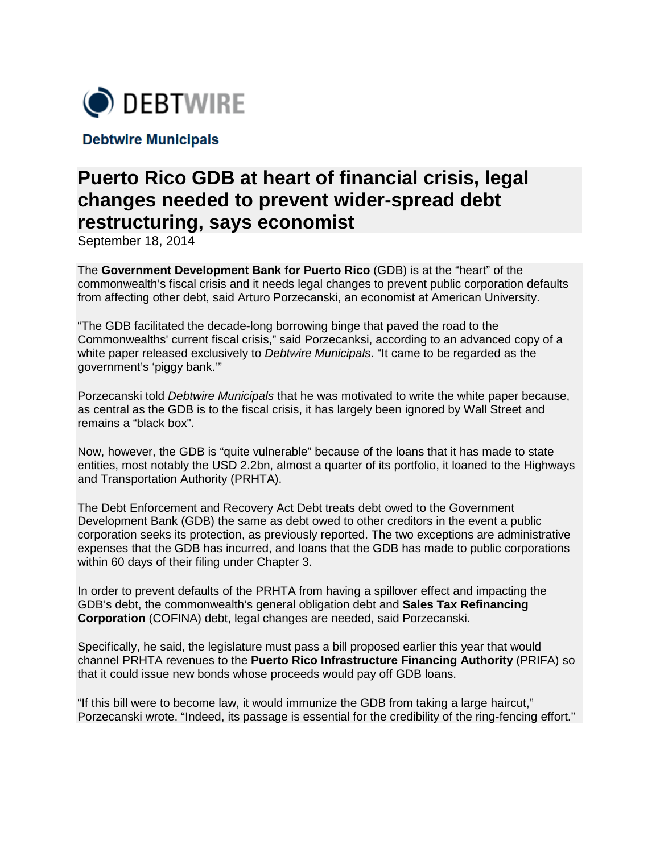

**Debtwire Municipals** 

## **Puerto Rico GDB at heart of financial crisis, legal changes needed to prevent wider-spread debt restructuring, says economist**

September 18, 2014

The **Government Development Bank for Puerto Rico** (GDB) is at the "heart" of the commonwealth's fiscal crisis and it needs legal changes to prevent public corporation defaults from affecting other debt, said Arturo Porzecanski, an economist at American University.

"The GDB facilitated the decade-long borrowing binge that paved the road to the Commonwealths' current fiscal crisis," said Porzecanksi, according to an advanced copy of a white paper released exclusively to *Debtwire Municipals*. "It came to be regarded as the government's 'piggy bank.'"

Porzecanski told *Debtwire Municipals* that he was motivated to write the white paper because, as central as the GDB is to the fiscal crisis, it has largely been ignored by Wall Street and remains a "black box".

Now, however, the GDB is "quite vulnerable" because of the loans that it has made to state entities, most notably the USD 2.2bn, almost a quarter of its portfolio, it loaned to the Highways and Transportation Authority (PRHTA).

The Debt Enforcement and Recovery Act Debt treats debt owed to the Government Development Bank (GDB) the same as debt owed to other creditors in the event a public corporation seeks its protection, [as previously reported.](http://municipals.debtwire.com/Common/muni/Intelligence/Details.aspx?sysid=1840869) The two exceptions are administrative expenses that the GDB has incurred, and loans that the GDB has made to public corporations within 60 days of their filing under Chapter 3.

In order to prevent defaults of the PRHTA from having a spillover effect and impacting the GDB's debt, the commonwealth's general obligation debt and **Sales Tax Refinancing Corporation** (COFINA) debt, legal changes are needed, said Porzecanski.

Specifically, he said, the legislature must pass a bill proposed earlier this year that would channel PRHTA revenues to the **Puerto Rico Infrastructure Financing Authority** (PRIFA) so that it could issue new bonds whose proceeds would pay off GDB loans.

"If this bill were to become law, it would immunize the GDB from taking a large haircut," Porzecanski wrote. "Indeed, its passage is essential for the credibility of the ring-fencing effort."